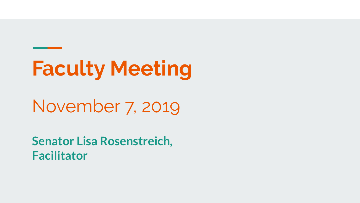# **Faculty Meeting**

## November 7, 2019

**Senator Lisa Rosenstreich, Facilitator**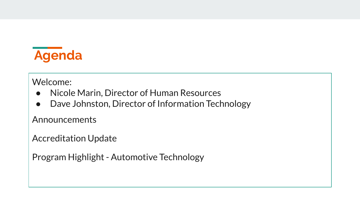

Welcome:

- Nicole Marin, Director of Human Resources
- Dave Johnston, Director of Information Technology

Announcements

Accreditation Update

Program Highlight - Automotive Technology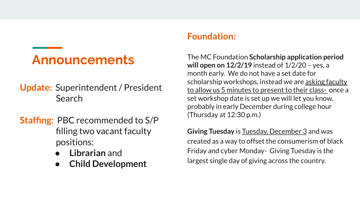## **Announcements**

- **Update:** Superintendent / President Search
- **Staffing:** PBC recommended to S/P filling two vacant faculty positions:
	- **Librarian** and
	- **Child Development**

#### **Foundation:**

The MC Foundation **Scholarship application period will open on 12/2/19** instead of 1/2/20 – yes, a month early. We do not have a set date for scholarship workshops, instead we are asking faculty to allow us 5 minutes to present to their class- once a set workshop date is set up we will let you know, probably in early December during college hour (Thursday at 12:30 p.m.)

**Giving Tuesday** is Tuesday, December 3 and was created as a way to offset the consumerism of black Friday and cyber Monday- Giving Tuesday is the largest single day of giving across the country.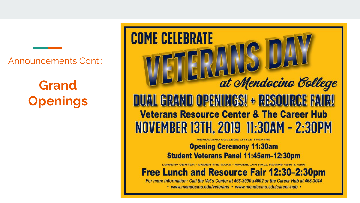Announcements Cont.:

**Grand Openings** **COME CELEBRATE** at Mendocino College DUAL GRAND OPENINGS! + RESOURCE FAIR! **Veterans Resource Center & The Career Hub** NOVEMBER 13TH, 2019 11:30AM - 2:30PM

**Opening Ceremony 11:30am Student Veterans Panel 11:45am-12:30pm** 

**Free Lunch and Resource Fair 12:30-2:30pm** 

For more information: Call the Vet's Center at 468-3000 x4602 or the Career Hub at 468-3044 • www.mendocino.edu/veterans • www.mendocino.edu/career-hub •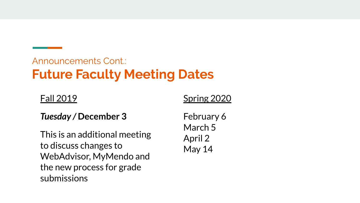### Announcements Cont.: **Future Faculty Meeting Dates**

#### Fall 2019

#### *Tuesday /* **December 3**

This is an additional meeting to discuss changes to WebAdvisor, MyMendo and the new process for grade submissions

#### Spring 2020

February 6 March 5 April 2 May 14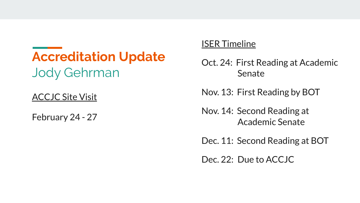## **Accreditation Update** Jody Gehrman

#### ACCJC Site Visit

February 24 - 27

#### ISER Timeline

- Oct. 24: First Reading at Academic Senate
- Nov. 13: First Reading by BOT
- Nov. 14: Second Reading at Academic Senate
- Dec. 11: Second Reading at BOT

Dec. 22: Due to ACCJC